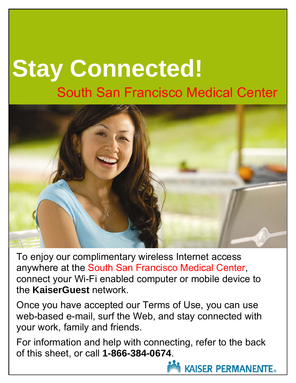# **Stay Connected!**  South San Francisco Medical Center



To enjoy our complimentary wireless Internet access anywhere at the South San Francisco Medical Center, connect your Wi-Fi enabled computer or mobile device to the **KaiserGuest** network.

Once you have accepted our Terms of Use, you can use web-based e-mail, surf the Web, and stay connected with your work, family and friends.

For information and help with connecting, refer to the back of this sheet, or call **1-866-384-0674**.